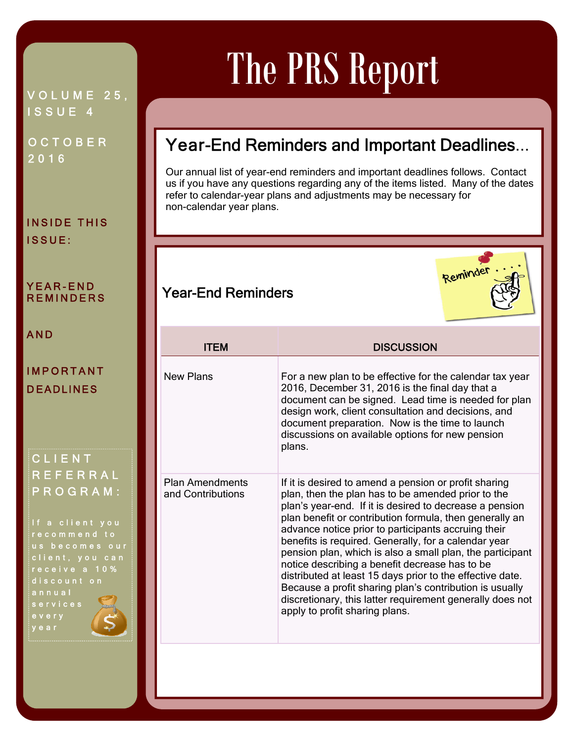#### VOLUME 25, ISSUE 4

**OCTOBER** 2016

INSIDE THIS ISSUE:

#### YEAR-END **REMINDERS**

AND

#### IMPORTANT DEADLINES

CLIENT REFERRAL PROGRAM:

If a client you recommend to us becomes our client, you can receive a 10% discount on annual services every year

# The PRS Report

## Year-End Reminders and Important Deadlines...

Our annual list of year-end reminders and important deadlines follows. Contact us if you have any questions regarding any of the items listed. Many of the dates refer to calendar-year plans and adjustments may be necessary for non-calendar year plans.

Ī



### Year-End Reminders

| <b>ITFM</b>                          | <b>DISCUSSION</b>                                                                                                                                                                                                                                                                                                                                                                                                                                                                                                                                                                                                                                                                      |
|--------------------------------------|----------------------------------------------------------------------------------------------------------------------------------------------------------------------------------------------------------------------------------------------------------------------------------------------------------------------------------------------------------------------------------------------------------------------------------------------------------------------------------------------------------------------------------------------------------------------------------------------------------------------------------------------------------------------------------------|
| <b>New Plans</b>                     | For a new plan to be effective for the calendar tax year<br>2016, December 31, 2016 is the final day that a<br>document can be signed. Lead time is needed for plan<br>design work, client consultation and decisions, and<br>document preparation. Now is the time to launch<br>discussions on available options for new pension<br>plans.                                                                                                                                                                                                                                                                                                                                            |
| Plan Amendments<br>and Contributions | If it is desired to amend a pension or profit sharing<br>plan, then the plan has to be amended prior to the<br>plan's year-end. If it is desired to decrease a pension<br>plan benefit or contribution formula, then generally an<br>advance notice prior to participants accruing their<br>benefits is required. Generally, for a calendar year<br>pension plan, which is also a small plan, the participant<br>notice describing a benefit decrease has to be<br>distributed at least 15 days prior to the effective date.<br>Because a profit sharing plan's contribution is usually<br>discretionary, this latter requirement generally does not<br>apply to profit sharing plans. |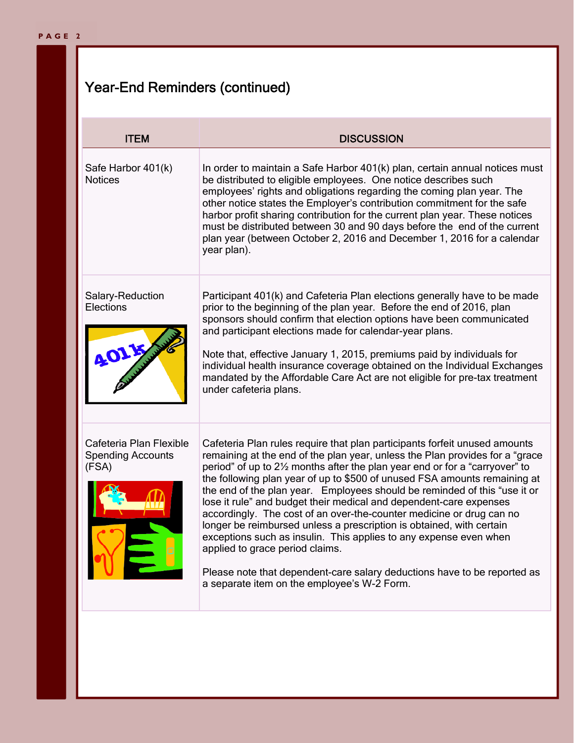## Year-End Reminders (continued)

| <b>ITEM</b>                                                  | <b>DISCUSSION</b>                                                                                                                                                                                                                                                                                                                                                                                                                                                                                                                                                                                                                                                                                                                                                                                                                                             |
|--------------------------------------------------------------|---------------------------------------------------------------------------------------------------------------------------------------------------------------------------------------------------------------------------------------------------------------------------------------------------------------------------------------------------------------------------------------------------------------------------------------------------------------------------------------------------------------------------------------------------------------------------------------------------------------------------------------------------------------------------------------------------------------------------------------------------------------------------------------------------------------------------------------------------------------|
| Safe Harbor 401(k)<br><b>Notices</b>                         | In order to maintain a Safe Harbor 401(k) plan, certain annual notices must<br>be distributed to eligible employees. One notice describes such<br>employees' rights and obligations regarding the coming plan year. The<br>other notice states the Employer's contribution commitment for the safe<br>harbor profit sharing contribution for the current plan year. These notices<br>must be distributed between 30 and 90 days before the end of the current<br>plan year (between October 2, 2016 and December 1, 2016 for a calendar<br>year plan).                                                                                                                                                                                                                                                                                                        |
| Salary-Reduction<br>Elections                                | Participant 401(k) and Cafeteria Plan elections generally have to be made<br>prior to the beginning of the plan year. Before the end of 2016, plan<br>sponsors should confirm that election options have been communicated<br>and participant elections made for calendar-year plans.<br>Note that, effective January 1, 2015, premiums paid by individuals for<br>individual health insurance coverage obtained on the Individual Exchanges<br>mandated by the Affordable Care Act are not eligible for pre-tax treatment<br>under cafeteria plans.                                                                                                                                                                                                                                                                                                          |
| Cafeteria Plan Flexible<br><b>Spending Accounts</b><br>(FSA) | Cafeteria Plan rules require that plan participants forfeit unused amounts<br>remaining at the end of the plan year, unless the Plan provides for a "grace<br>period" of up to 21/2 months after the plan year end or for a "carryover" to<br>the following plan year of up to \$500 of unused FSA amounts remaining at<br>the end of the plan year. Employees should be reminded of this "use it or<br>lose it rule" and budget their medical and dependent-care expenses<br>accordingly. The cost of an over-the-counter medicine or drug can no<br>longer be reimbursed unless a prescription is obtained, with certain<br>exceptions such as insulin. This applies to any expense even when<br>applied to grace period claims.<br>Please note that dependent-care salary deductions have to be reported as<br>a separate item on the employee's W-2 Form. |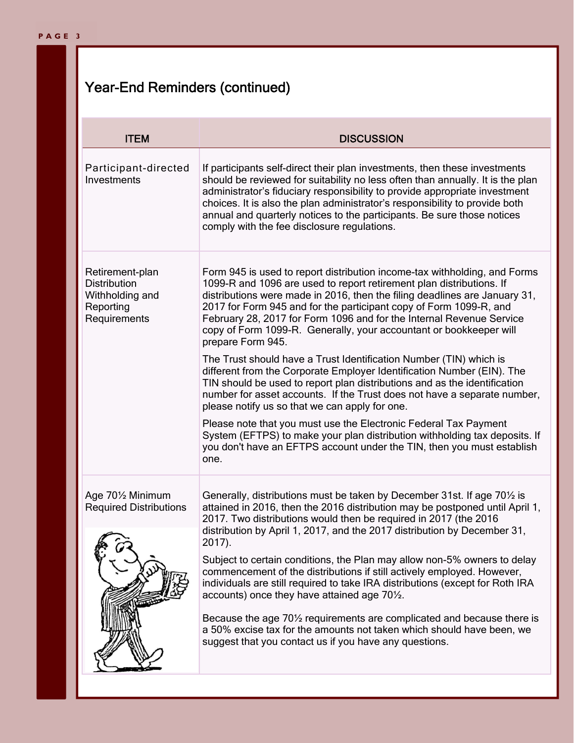## Year-End Reminders (continued)

| <b>ITEM</b>                                                                            | <b>DISCUSSION</b>                                                                                                                                                                                                                                                                                                                                                                                                                                                                                                                              |  |
|----------------------------------------------------------------------------------------|------------------------------------------------------------------------------------------------------------------------------------------------------------------------------------------------------------------------------------------------------------------------------------------------------------------------------------------------------------------------------------------------------------------------------------------------------------------------------------------------------------------------------------------------|--|
| Participant-directed<br>Investments                                                    | If participants self-direct their plan investments, then these investments<br>should be reviewed for suitability no less often than annually. It is the plan<br>administrator's fiduciary responsibility to provide appropriate investment<br>choices. It is also the plan administrator's responsibility to provide both<br>annual and quarterly notices to the participants. Be sure those notices<br>comply with the fee disclosure regulations.                                                                                            |  |
| Retirement-plan<br><b>Distribution</b><br>Withholding and<br>Reporting<br>Requirements | Form 945 is used to report distribution income-tax withholding, and Forms<br>1099-R and 1096 are used to report retirement plan distributions. If<br>distributions were made in 2016, then the filing deadlines are January 31,<br>2017 for Form 945 and for the participant copy of Form 1099-R, and<br>February 28, 2017 for Form 1096 and for the Internal Revenue Service<br>copy of Form 1099-R. Generally, your accountant or bookkeeper will<br>prepare Form 945.<br>The Trust should have a Trust Identification Number (TIN) which is |  |
|                                                                                        | different from the Corporate Employer Identification Number (EIN). The<br>TIN should be used to report plan distributions and as the identification<br>number for asset accounts. If the Trust does not have a separate number,<br>please notify us so that we can apply for one.                                                                                                                                                                                                                                                              |  |
|                                                                                        | Please note that you must use the Electronic Federal Tax Payment<br>System (EFTPS) to make your plan distribution withholding tax deposits. If<br>you don't have an EFTPS account under the TIN, then you must establish<br>one.                                                                                                                                                                                                                                                                                                               |  |
| Age 701/2 Minimum<br><b>Required Distributions</b>                                     | Generally, distributions must be taken by December 31st. If age 701/2 is<br>attained in 2016, then the 2016 distribution may be postponed until April 1,<br>2017. Two distributions would then be required in 2017 (the 2016<br>distribution by April 1, 2017, and the 2017 distribution by December 31,                                                                                                                                                                                                                                       |  |
|                                                                                        | $2017$ ).<br>Subject to certain conditions, the Plan may allow non-5% owners to delay<br>commencement of the distributions if still actively employed. However,<br>individuals are still required to take IRA distributions (except for Roth IRA<br>accounts) once they have attained age 70 <sup>1/2</sup> .                                                                                                                                                                                                                                  |  |
|                                                                                        | Because the age 701/2 requirements are complicated and because there is<br>a 50% excise tax for the amounts not taken which should have been, we<br>suggest that you contact us if you have any questions.                                                                                                                                                                                                                                                                                                                                     |  |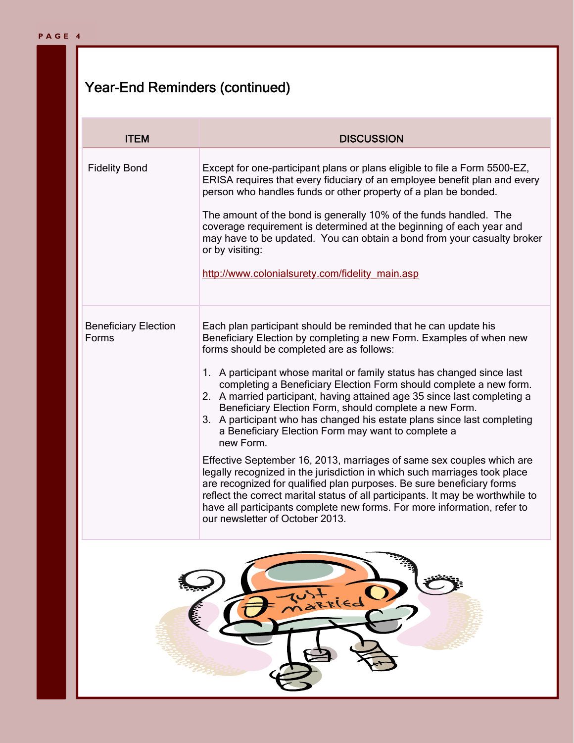## Year-End Reminders (continued)

| <b>ITEM</b>                          | <b>DISCUSSION</b>                                                                                                                                                                                                                                                                                                                                                                                                                                                                                                                                                                                                                                                                                                                                                                                                                                                                                                                                                                                                                                        |
|--------------------------------------|----------------------------------------------------------------------------------------------------------------------------------------------------------------------------------------------------------------------------------------------------------------------------------------------------------------------------------------------------------------------------------------------------------------------------------------------------------------------------------------------------------------------------------------------------------------------------------------------------------------------------------------------------------------------------------------------------------------------------------------------------------------------------------------------------------------------------------------------------------------------------------------------------------------------------------------------------------------------------------------------------------------------------------------------------------|
| <b>Fidelity Bond</b>                 | Except for one-participant plans or plans eligible to file a Form 5500-EZ,<br>ERISA requires that every fiduciary of an employee benefit plan and every<br>person who handles funds or other property of a plan be bonded.<br>The amount of the bond is generally 10% of the funds handled. The<br>coverage requirement is determined at the beginning of each year and<br>may have to be updated. You can obtain a bond from your casualty broker<br>or by visiting:<br>http://www.colonialsurety.com/fidelity_main.asp                                                                                                                                                                                                                                                                                                                                                                                                                                                                                                                                 |
| <b>Beneficiary Election</b><br>Forms | Each plan participant should be reminded that he can update his<br>Beneficiary Election by completing a new Form. Examples of when new<br>forms should be completed are as follows:<br>1. A participant whose marital or family status has changed since last<br>completing a Beneficiary Election Form should complete a new form.<br>2. A married participant, having attained age 35 since last completing a<br>Beneficiary Election Form, should complete a new Form.<br>3. A participant who has changed his estate plans since last completing<br>a Beneficiary Election Form may want to complete a<br>new Form.<br>Effective September 16, 2013, marriages of same sex couples which are<br>legally recognized in the jurisdiction in which such marriages took place<br>are recognized for qualified plan purposes. Be sure beneficiary forms<br>reflect the correct marital status of all participants. It may be worthwhile to<br>have all participants complete new forms. For more information, refer to<br>our newsletter of October 2013. |